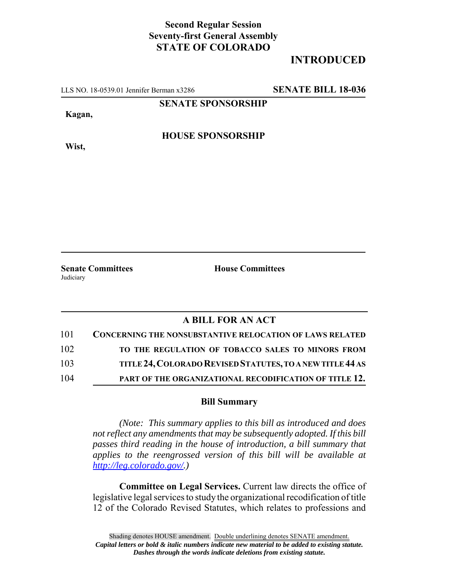## **Second Regular Session Seventy-first General Assembly STATE OF COLORADO**

# **INTRODUCED**

LLS NO. 18-0539.01 Jennifer Berman x3286 **SENATE BILL 18-036**

**SENATE SPONSORSHIP**

**Kagan,**

**Wist,**

**HOUSE SPONSORSHIP**

**Senate Committees House Committees Judiciary** 

## **A BILL FOR AN ACT**

| 101 | <b>CONCERNING THE NONSUBSTANTIVE RELOCATION OF LAWS RELATED</b> |
|-----|-----------------------------------------------------------------|
| 102 | TO THE REGULATION OF TOBACCO SALES TO MINORS FROM               |
| 103 | TITLE 24, COLORADO REVISED STATUTES, TO A NEW TITLE 44 AS       |
| 104 | PART OF THE ORGANIZATIONAL RECODIFICATION OF TITLE 12.          |

### **Bill Summary**

*(Note: This summary applies to this bill as introduced and does not reflect any amendments that may be subsequently adopted. If this bill passes third reading in the house of introduction, a bill summary that applies to the reengrossed version of this bill will be available at http://leg.colorado.gov/.)*

**Committee on Legal Services.** Current law directs the office of legislative legal services to study the organizational recodification of title 12 of the Colorado Revised Statutes, which relates to professions and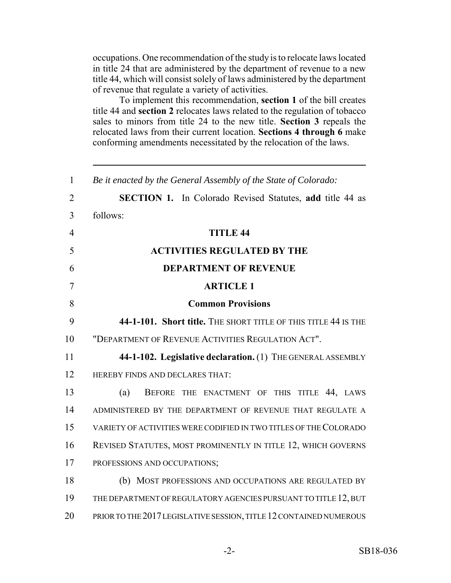occupations. One recommendation of the study is to relocate laws located in title 24 that are administered by the department of revenue to a new title 44, which will consist solely of laws administered by the department of revenue that regulate a variety of activities.

To implement this recommendation, **section 1** of the bill creates title 44 and **section 2** relocates laws related to the regulation of tobacco sales to minors from title 24 to the new title. **Section 3** repeals the relocated laws from their current location. **Sections 4 through 6** make conforming amendments necessitated by the relocation of the laws.

| $\mathbf{1}$   | Be it enacted by the General Assembly of the State of Colorado:    |
|----------------|--------------------------------------------------------------------|
| $\overline{2}$ | <b>SECTION 1.</b> In Colorado Revised Statutes, add title 44 as    |
| $\overline{3}$ | follows:                                                           |
| $\overline{4}$ | <b>TITLE 44</b>                                                    |
| 5              | <b>ACTIVITIES REGULATED BY THE</b>                                 |
| 6              | <b>DEPARTMENT OF REVENUE</b>                                       |
| $\overline{7}$ | <b>ARTICLE 1</b>                                                   |
| 8              | <b>Common Provisions</b>                                           |
| 9              | 44-1-101. Short title. THE SHORT TITLE OF THIS TITLE 44 IS THE     |
| 10             | "DEPARTMENT OF REVENUE ACTIVITIES REGULATION ACT".                 |
| 11             | 44-1-102. Legislative declaration. (1) THE GENERAL ASSEMBLY        |
| 12             | HEREBY FINDS AND DECLARES THAT:                                    |
| 13             | BEFORE THE ENACTMENT OF THIS TITLE 44, LAWS<br>(a)                 |
| 14             | ADMINISTERED BY THE DEPARTMENT OF REVENUE THAT REGULATE A          |
| 15             | VARIETY OF ACTIVITIES WERE CODIFIED IN TWO TITLES OF THE COLORADO  |
| 16             | REVISED STATUTES, MOST PROMINENTLY IN TITLE 12, WHICH GOVERNS      |
| 17             | PROFESSIONS AND OCCUPATIONS;                                       |
| 18             | (b) MOST PROFESSIONS AND OCCUPATIONS ARE REGULATED BY              |
| 19             | THE DEPARTMENT OF REGULATORY AGENCIES PURSUANT TO TITLE 12, BUT    |
| 20             | PRIOR TO THE 2017 LEGISLATIVE SESSION, TITLE 12 CONTAINED NUMEROUS |
|                |                                                                    |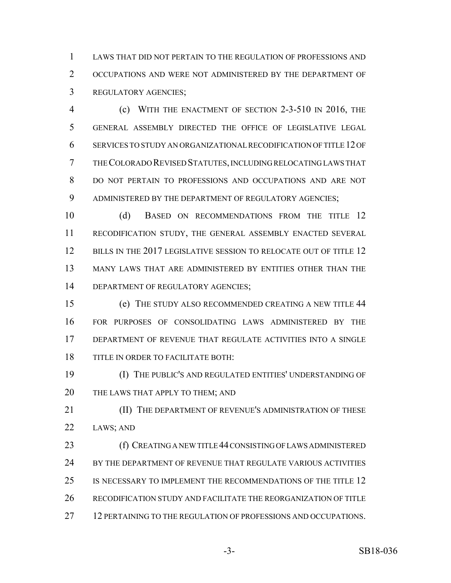LAWS THAT DID NOT PERTAIN TO THE REGULATION OF PROFESSIONS AND OCCUPATIONS AND WERE NOT ADMINISTERED BY THE DEPARTMENT OF REGULATORY AGENCIES;

 (c) WITH THE ENACTMENT OF SECTION 2-3-510 IN 2016, THE GENERAL ASSEMBLY DIRECTED THE OFFICE OF LEGISLATIVE LEGAL SERVICES TO STUDY AN ORGANIZATIONAL RECODIFICATION OF TITLE 12 OF THE COLORADO REVISED STATUTES, INCLUDING RELOCATING LAWS THAT DO NOT PERTAIN TO PROFESSIONS AND OCCUPATIONS AND ARE NOT ADMINISTERED BY THE DEPARTMENT OF REGULATORY AGENCIES;

10 (d) BASED ON RECOMMENDATIONS FROM THE TITLE 12 RECODIFICATION STUDY, THE GENERAL ASSEMBLY ENACTED SEVERAL 12 BILLS IN THE 2017 LEGISLATIVE SESSION TO RELOCATE OUT OF TITLE 12 MANY LAWS THAT ARE ADMINISTERED BY ENTITIES OTHER THAN THE 14 DEPARTMENT OF REGULATORY AGENCIES;

 (e) THE STUDY ALSO RECOMMENDED CREATING A NEW TITLE 44 FOR PURPOSES OF CONSOLIDATING LAWS ADMINISTERED BY THE DEPARTMENT OF REVENUE THAT REGULATE ACTIVITIES INTO A SINGLE TITLE IN ORDER TO FACILITATE BOTH:

 (I) THE PUBLIC'S AND REGULATED ENTITIES' UNDERSTANDING OF 20 THE LAWS THAT APPLY TO THEM; AND

**III)** THE DEPARTMENT OF REVENUE'S ADMINISTRATION OF THESE LAWS; AND

 (f) CREATING A NEW TITLE 44 CONSISTING OF LAWS ADMINISTERED 24 BY THE DEPARTMENT OF REVENUE THAT REGULATE VARIOUS ACTIVITIES IS NECESSARY TO IMPLEMENT THE RECOMMENDATIONS OF THE TITLE 12 RECODIFICATION STUDY AND FACILITATE THE REORGANIZATION OF TITLE 12 PERTAINING TO THE REGULATION OF PROFESSIONS AND OCCUPATIONS.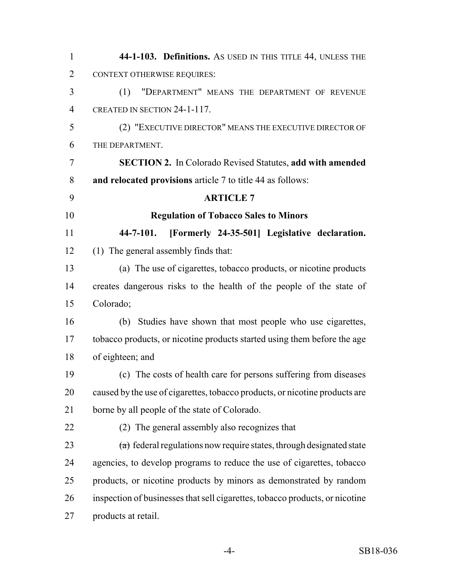| $\mathbf{1}$   | 44-1-103. Definitions. As USED IN THIS TITLE 44, UNLESS THE                  |
|----------------|------------------------------------------------------------------------------|
| $\overline{2}$ | <b>CONTEXT OTHERWISE REQUIRES:</b>                                           |
| 3              | "DEPARTMENT" MEANS THE DEPARTMENT OF REVENUE<br>(1)                          |
| $\overline{4}$ | CREATED IN SECTION 24-1-117.                                                 |
| 5              | (2) "EXECUTIVE DIRECTOR" MEANS THE EXECUTIVE DIRECTOR OF                     |
| 6              | THE DEPARTMENT.                                                              |
| 7              | <b>SECTION 2.</b> In Colorado Revised Statutes, add with amended             |
| 8              | and relocated provisions article 7 to title 44 as follows:                   |
| 9              | <b>ARTICLE 7</b>                                                             |
| 10             | <b>Regulation of Tobacco Sales to Minors</b>                                 |
| 11             | [Formerly 24-35-501] Legislative declaration.<br>$44 - 7 - 101.$             |
| 12             | (1) The general assembly finds that:                                         |
| 13             | (a) The use of cigarettes, tobacco products, or nicotine products            |
| 14             | creates dangerous risks to the health of the people of the state of          |
| 15             | Colorado;                                                                    |
| 16             | (b) Studies have shown that most people who use cigarettes,                  |
| 17             | tobacco products, or nicotine products started using them before the age     |
| 18             | of eighteen; and                                                             |
| 19             | (c) The costs of health care for persons suffering from diseases             |
| 20             | caused by the use of cigarettes, tobacco products, or nicotine products are  |
| 21             | borne by all people of the state of Colorado.                                |
| 22             | (2) The general assembly also recognizes that                                |
| 23             | $(a)$ federal regulations now require states, through designated state       |
| 24             | agencies, to develop programs to reduce the use of cigarettes, tobacco       |
| 25             | products, or nicotine products by minors as demonstrated by random           |
| 26             | inspection of businesses that sell cigarettes, tobacco products, or nicotine |
| 27             | products at retail.                                                          |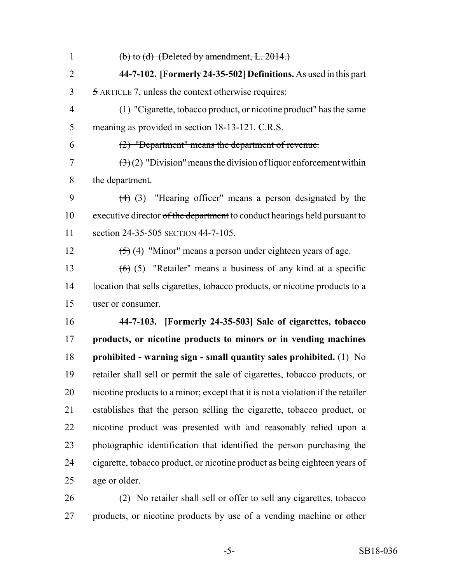1 (b) to (d) (Deleted by amendment, L. .) **44-7-102. [Formerly 24-35-502] Definitions.** As used in this part 5 ARTICLE 7, unless the context otherwise requires: (1) "Cigarette, tobacco product, or nicotine product" has the same 5 meaning as provided in section 18-13-121. C.R.S. (2) "Department" means the department of revenue.  $(3)(2)$  "Division" means the division of liquor enforcement within the department. (4) (3) "Hearing officer" means a person designated by the 10 executive director of the department to conduct hearings held pursuant to 11 section 24-35-505 SECTION 44-7-105.  $(5)(4)$  "Minor" means a person under eighteen years of age.  $(6)$  (5) "Retailer" means a business of any kind at a specific location that sells cigarettes, tobacco products, or nicotine products to a user or consumer. **44-7-103. [Formerly 24-35-503] Sale of cigarettes, tobacco products, or nicotine products to minors or in vending machines prohibited - warning sign - small quantity sales prohibited.** (1) No retailer shall sell or permit the sale of cigarettes, tobacco products, or nicotine products to a minor; except that it is not a violation if the retailer establishes that the person selling the cigarette, tobacco product, or nicotine product was presented with and reasonably relied upon a photographic identification that identified the person purchasing the cigarette, tobacco product, or nicotine product as being eighteen years of age or older.

 (2) No retailer shall sell or offer to sell any cigarettes, tobacco products, or nicotine products by use of a vending machine or other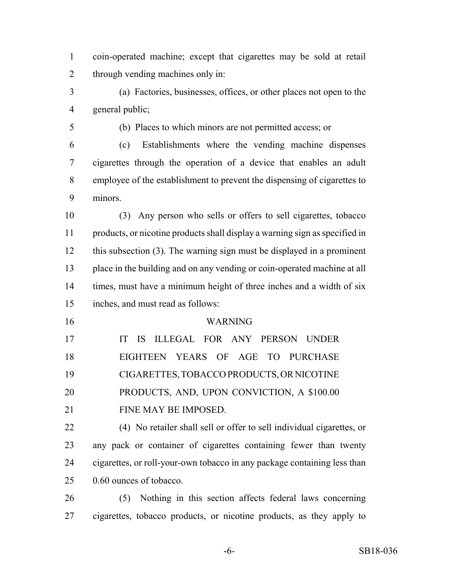- coin-operated machine; except that cigarettes may be sold at retail through vending machines only in:
- (a) Factories, businesses, offices, or other places not open to the general public;
- (b) Places to which minors are not permitted access; or

 (c) Establishments where the vending machine dispenses cigarettes through the operation of a device that enables an adult employee of the establishment to prevent the dispensing of cigarettes to minors.

 (3) Any person who sells or offers to sell cigarettes, tobacco products, or nicotine products shall display a warning sign as specified in this subsection (3). The warning sign must be displayed in a prominent place in the building and on any vending or coin-operated machine at all times, must have a minimum height of three inches and a width of six inches, and must read as follows:

#### WARNING

| 17 | IT IS ILLEGAL FOR ANY PERSON UNDER         |
|----|--------------------------------------------|
| 18 | EIGHTEEN YEARS OF AGE TO PURCHASE          |
| 19 | CIGARETTES, TOBACCO PRODUCTS, OR NICOTINE  |
| 20 | PRODUCTS, AND, UPON CONVICTION, A \$100.00 |
| 21 | FINE MAY BE IMPOSED.                       |

 (4) No retailer shall sell or offer to sell individual cigarettes, or any pack or container of cigarettes containing fewer than twenty cigarettes, or roll-your-own tobacco in any package containing less than 0.60 ounces of tobacco.

 (5) Nothing in this section affects federal laws concerning cigarettes, tobacco products, or nicotine products, as they apply to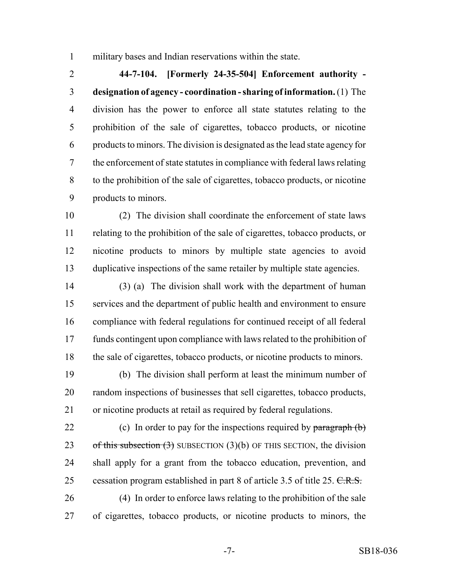military bases and Indian reservations within the state.

 **44-7-104. [Formerly 24-35-504] Enforcement authority - designation of agency - coordination - sharing of information.** (1) The division has the power to enforce all state statutes relating to the prohibition of the sale of cigarettes, tobacco products, or nicotine products to minors. The division is designated as the lead state agency for the enforcement of state statutes in compliance with federal laws relating to the prohibition of the sale of cigarettes, tobacco products, or nicotine products to minors.

 (2) The division shall coordinate the enforcement of state laws relating to the prohibition of the sale of cigarettes, tobacco products, or nicotine products to minors by multiple state agencies to avoid duplicative inspections of the same retailer by multiple state agencies.

 (3) (a) The division shall work with the department of human services and the department of public health and environment to ensure compliance with federal regulations for continued receipt of all federal funds contingent upon compliance with laws related to the prohibition of the sale of cigarettes, tobacco products, or nicotine products to minors.

 (b) The division shall perform at least the minimum number of random inspections of businesses that sell cigarettes, tobacco products, or nicotine products at retail as required by federal regulations.

22 (c) In order to pay for the inspections required by  $\frac{\partial^2 u}{\partial x^2}$ 23 of this subsection  $(3)$  SUBSECTION  $(3)(b)$  OF THIS SECTION, the division shall apply for a grant from the tobacco education, prevention, and 25 cessation program established in part 8 of article 3.5 of title 25. C.R.S.

 (4) In order to enforce laws relating to the prohibition of the sale of cigarettes, tobacco products, or nicotine products to minors, the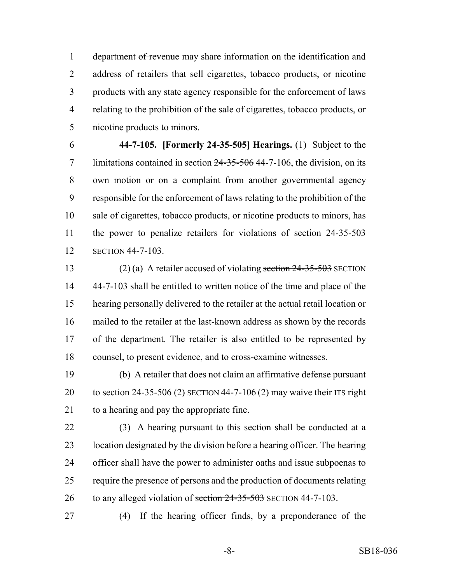1 department of revenue may share information on the identification and address of retailers that sell cigarettes, tobacco products, or nicotine products with any state agency responsible for the enforcement of laws relating to the prohibition of the sale of cigarettes, tobacco products, or nicotine products to minors.

 **44-7-105. [Formerly 24-35-505] Hearings.** (1) Subject to the 7 limitations contained in section 24-35-506 44-7-106, the division, on its own motion or on a complaint from another governmental agency responsible for the enforcement of laws relating to the prohibition of the sale of cigarettes, tobacco products, or nicotine products to minors, has 11 the power to penalize retailers for violations of section 24-35-503 SECTION 44-7-103.

13 (2) (a) A retailer accused of violating section  $24-35-503$  SECTION 44-7-103 shall be entitled to written notice of the time and place of the hearing personally delivered to the retailer at the actual retail location or mailed to the retailer at the last-known address as shown by the records of the department. The retailer is also entitled to be represented by counsel, to present evidence, and to cross-examine witnesses.

 (b) A retailer that does not claim an affirmative defense pursuant 20 to section  $24-35-506$  (2) SECTION 44-7-106 (2) may waive their ITS right to a hearing and pay the appropriate fine.

 (3) A hearing pursuant to this section shall be conducted at a location designated by the division before a hearing officer. The hearing officer shall have the power to administer oaths and issue subpoenas to require the presence of persons and the production of documents relating 26 to any alleged violation of section 24-35-503 SECTION 44-7-103.

(4) If the hearing officer finds, by a preponderance of the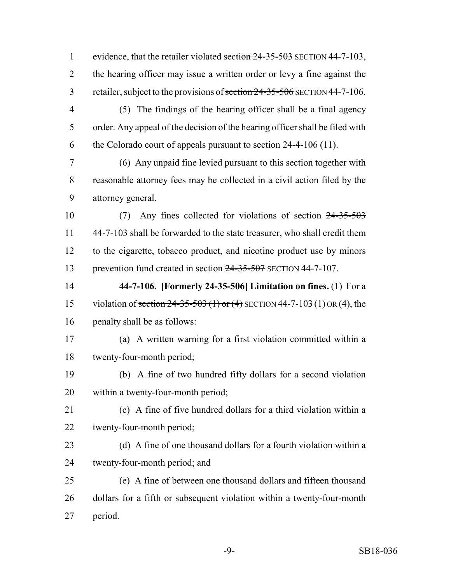1 evidence, that the retailer violated section 24-35-503 SECTION 44-7-103, 2 the hearing officer may issue a written order or levy a fine against the 3 retailer, subject to the provisions of section 24-35-506 SECTION 44-7-106. (5) The findings of the hearing officer shall be a final agency order. Any appeal of the decision of the hearing officer shall be filed with the Colorado court of appeals pursuant to section 24-4-106 (11).

 (6) Any unpaid fine levied pursuant to this section together with reasonable attorney fees may be collected in a civil action filed by the attorney general.

 (7) Any fines collected for violations of section 24-35-503 44-7-103 shall be forwarded to the state treasurer, who shall credit them to the cigarette, tobacco product, and nicotine product use by minors prevention fund created in section 24-35-507 SECTION 44-7-107.

 **44-7-106. [Formerly 24-35-506] Limitation on fines.** (1) For a 15 violation of section 24-35-503 (1) or (4) SECTION 44-7-103 (1) OR (4), the penalty shall be as follows:

 (a) A written warning for a first violation committed within a twenty-four-month period;

 (b) A fine of two hundred fifty dollars for a second violation within a twenty-four-month period;

 (c) A fine of five hundred dollars for a third violation within a twenty-four-month period;

 (d) A fine of one thousand dollars for a fourth violation within a twenty-four-month period; and

 (e) A fine of between one thousand dollars and fifteen thousand dollars for a fifth or subsequent violation within a twenty-four-month period.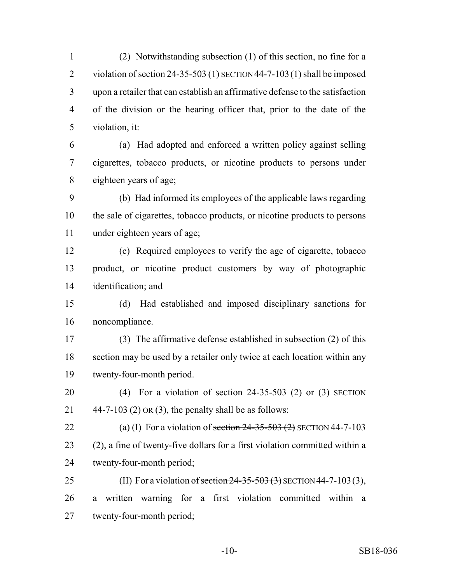(2) Notwithstanding subsection (1) of this section, no fine for a 2 violation of section  $24-35-503$  (1) SECTION 44-7-103 (1) shall be imposed upon a retailer that can establish an affirmative defense to the satisfaction of the division or the hearing officer that, prior to the date of the violation, it:

 (a) Had adopted and enforced a written policy against selling cigarettes, tobacco products, or nicotine products to persons under eighteen years of age;

 (b) Had informed its employees of the applicable laws regarding the sale of cigarettes, tobacco products, or nicotine products to persons under eighteen years of age;

 (c) Required employees to verify the age of cigarette, tobacco product, or nicotine product customers by way of photographic identification; and

 (d) Had established and imposed disciplinary sanctions for noncompliance.

 (3) The affirmative defense established in subsection (2) of this section may be used by a retailer only twice at each location within any twenty-four-month period.

20 (4) For a violation of section  $24-35-503$  (2) or (3) SECTION 21  $44-7-103$  (2) OR (3), the penalty shall be as follows:

22 (a) (I) For a violation of section  $24-35-503$  (2) SECTION 44-7-103 (2), a fine of twenty-five dollars for a first violation committed within a twenty-four-month period;

25 (II) For a violation of section  $24 - 35 - 503$  (3) SECTION 44-7-103 (3), a written warning for a first violation committed within a twenty-four-month period;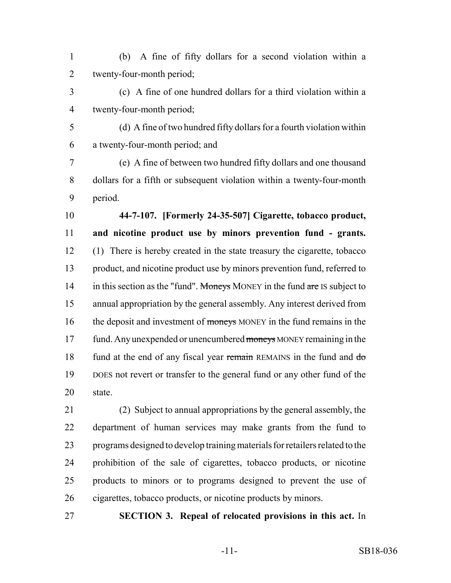(b) A fine of fifty dollars for a second violation within a twenty-four-month period;

- (c) A fine of one hundred dollars for a third violation within a twenty-four-month period;
- 

 (d) A fine of two hundred fifty dollars for a fourth violation within a twenty-four-month period; and

 (e) A fine of between two hundred fifty dollars and one thousand dollars for a fifth or subsequent violation within a twenty-four-month period.

 **44-7-107. [Formerly 24-35-507] Cigarette, tobacco product, and nicotine product use by minors prevention fund - grants.** (1) There is hereby created in the state treasury the cigarette, tobacco product, and nicotine product use by minors prevention fund, referred to 14 in this section as the "fund". Moneys MONEY in the fund are IS subject to annual appropriation by the general assembly. Any interest derived from 16 the deposit and investment of moneys MONEY in the fund remains in the 17 fund. Any unexpended or unencumbered moneys MONEY remaining in the 18 fund at the end of any fiscal year remain REMAINS in the fund and do DOES not revert or transfer to the general fund or any other fund of the state.

 (2) Subject to annual appropriations by the general assembly, the department of human services may make grants from the fund to programs designed to develop training materials for retailers related to the prohibition of the sale of cigarettes, tobacco products, or nicotine products to minors or to programs designed to prevent the use of cigarettes, tobacco products, or nicotine products by minors.

**SECTION 3. Repeal of relocated provisions in this act.** In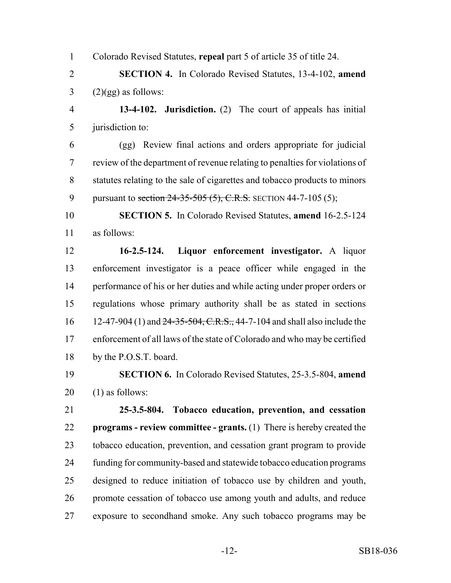Colorado Revised Statutes, **repeal** part 5 of article 35 of title 24.

 **SECTION 4.** In Colorado Revised Statutes, 13-4-102, **amend**  $3 \qquad (2)(gg)$  as follows:

 **13-4-102. Jurisdiction.** (2) The court of appeals has initial jurisdiction to:

 (gg) Review final actions and orders appropriate for judicial review of the department of revenue relating to penalties for violations of statutes relating to the sale of cigarettes and tobacco products to minors 9 pursuant to section 24-35-505 (5), C.R.S. SECTION 44-7-105 (5);

 **SECTION 5.** In Colorado Revised Statutes, **amend** 16-2.5-124 as follows:

 **16-2.5-124. Liquor enforcement investigator.** A liquor enforcement investigator is a peace officer while engaged in the performance of his or her duties and while acting under proper orders or regulations whose primary authority shall be as stated in sections 16 12-47-904 (1) and 24-35-504, C.R.S., 44-7-104 and shall also include the enforcement of all laws of the state of Colorado and who may be certified by the P.O.S.T. board.

 **SECTION 6.** In Colorado Revised Statutes, 25-3.5-804, **amend** (1) as follows:

 **25-3.5-804. Tobacco education, prevention, and cessation programs - review committee - grants.** (1) There is hereby created the tobacco education, prevention, and cessation grant program to provide funding for community-based and statewide tobacco education programs designed to reduce initiation of tobacco use by children and youth, promote cessation of tobacco use among youth and adults, and reduce exposure to secondhand smoke. Any such tobacco programs may be